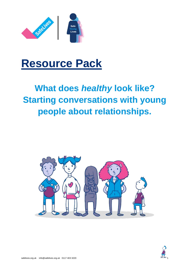

# **Resource Pack**

# **What does** *healthy* **look like? Starting conversations with young people about relationships.**



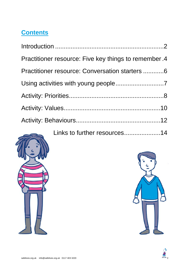### **Contents**

| Practitioner resource: Five key things to remember .4 |
|-------------------------------------------------------|
| Practitioner resource: Conversation starters  6       |
|                                                       |
|                                                       |
|                                                       |
|                                                       |
| Links to further resources14                          |

<span id="page-1-0"></span>



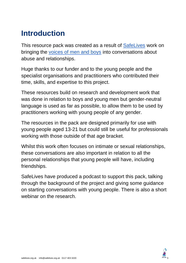## **Introduction**

This resource pack was created as a result of [SafeLives](https://safelives.org.uk/) work on bringing the [voices of men and boys](https://safelives.org.uk/voices-men-and-boys) into conversations about abuse and relationships.

Huge thanks to our funder and to the young people and the specialist organisations and practitioners who contributed their time, skills, and expertise to this project.

These resources build on research and development work that was done in relation to boys and young men but gender-neutral language is used as far as possible, to allow them to be used by practitioners working with young people of any gender.

The resources in the pack are designed primarily for use with young people aged 13-21 but could still be useful for professionals working with those outside of that age bracket.

Whilst this work often focuses on intimate or sexual relationships, these conversations are also important in relation to all the personal relationships that young people will have, including friendships.

SafeLives have produced a podcast to support this pack, talking through the background of the project and giving some guidance on starting conversations with young people. There is also a short webinar on the research.

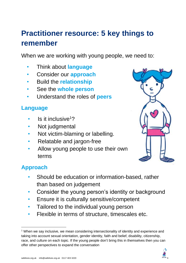# <span id="page-3-0"></span>**Practitioner resource: 5 key things to remember**

When we are working with young people, we need to:

- Think about **language**
- Consider our **approach**
- Build the **relationship**
- See the **whole person**
- Understand the roles of **peers**

#### **Language**

- Is it inclusive<sup>12</sup>
- Not judgmental
- Not victim-blaming or labelling.
- Relatable and jargon-free
- Allow young people to use their own terms



#### **Approach**

- Should be education or information-based, rather than based on judgement
- Consider the young person's identity or background
- Ensure it is culturally sensitive/competent
- Tailored to the individual young person
- Flexible in terms of structure, timescales etc.

<sup>&</sup>lt;sup>1</sup> When we say inclusive, we mean considering intersectionality of identity and experience and taking into account sexual orientation, gender identity, faith and belief, disability, citizenship, race, and culture on each topic. If the young people don't bring this in themselves then you can offer other perspectives to expand the conversation

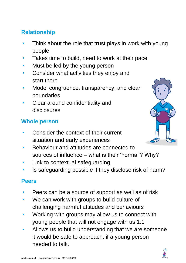#### **Relationship**

- Think about the role that trust plays in work with young people
- Takes time to build, need to work at their pace
- Must be led by the young person
- Consider what activities they enjoy and start there
- Model congruence, transparency, and clear boundaries
- Clear around confidentiality and disclosures

#### **Whole person**

- Consider the context of their current situation and early experiences
- Behaviour and attitudes are connected to sources of influence – what is their 'normal'? Why?
- Link to contextual safeguarding
- Is safeguarding possible if they disclose risk of harm?

#### **Peers**

- Peers can be a source of support as well as of risk
- We can work with groups to build culture of challenging harmful attitudes and behaviours
- Working with groups may allow us to connect with young people that will not engage with us 1:1
- Allows us to build understanding that we are someone it would be safe to approach, if a young person needed to talk.

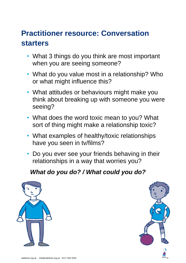## <span id="page-5-0"></span>**Practitioner resource: Conversation starters**

- What 3 things do you think are most important when you are seeing someone?
- What do you value most in a relationship? Who or what might influence this?
- What attitudes or behaviours might make you think about breaking up with someone you were seeing?
- What does the word toxic mean to you? What sort of thing might make a relationship toxic?
- What examples of healthy/toxic relationships have you seen in tv/films?
- Do you ever see your friends behaving in their relationships in a way that worries you?

#### *What do you do? / What could you do?*



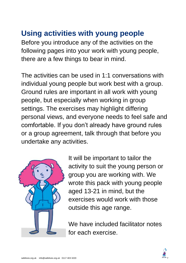### <span id="page-6-0"></span>**Using activities with young people**

Before you introduce any of the activities on the following pages into your work with young people, there are a few things to bear in mind.

The activities can be used in 1:1 conversations with individual young people but work best with a group. Ground rules are important in all work with young people, but especially when working in group settings. The exercises may highlight differing personal views, and everyone needs to feel safe and comfortable. If you don't already have ground rules or a group agreement, talk through that before you undertake any activities.



It will be important to tailor the activity to suit the young person or group you are working with. We wrote this pack with young people aged 13-21 in mind, but the exercises would work with those outside this age range.

We have included facilitator notes for each exercise.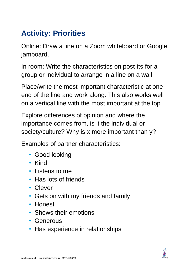# <span id="page-7-0"></span>**Activity: Priorities**

Online: Draw a line on a Zoom whiteboard or Google jamboard.

In room: Write the characteristics on post-its for a group or individual to arrange in a line on a wall.

Place/write the most important characteristic at one end of the line and work along. This also works well on a vertical line with the most important at the top.

Explore differences of opinion and where the importance comes from, is it the individual or society/culture? Why is x more important than y?

Examples of partner characteristics:

- Good looking
- Kind
- Listens to me
- Has lots of friends
- Clever
- Gets on with my friends and family
- Honest
- Shows their emotions
- Generous
- Has experience in relationships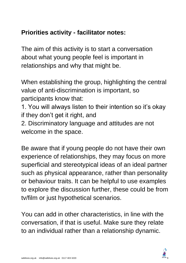#### **Priorities activity - facilitator notes:**

The aim of this activity is to start a conversation about what young people feel is important in relationships and why that might be.

When establishing the group, highlighting the central value of anti-discrimination is important, so participants know that:

- 1. You will always listen to their intention so it's okay if they don't get it right, and
- 2. Discriminatory language and attitudes are not welcome in the space.

Be aware that if young people do not have their own experience of relationships, they may focus on more superficial and stereotypical ideas of an ideal partner such as physical appearance, rather than personality or behaviour traits. It can be helpful to use examples to explore the discussion further, these could be from tv/film or just hypothetical scenarios.

You can add in other characteristics, in line with the conversation, if that is useful. Make sure they relate to an individual rather than a relationship dynamic.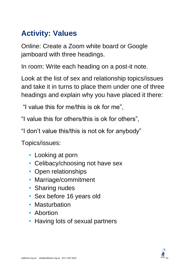### <span id="page-9-0"></span>**Activity: Values**

Online: Create a Zoom white board or Google jamboard with three headings.

In room: Write each heading on a post-it note.

Look at the list of sex and relationship topics/issues and take it in turns to place them under one of three headings and explain why you have placed it there:

"I value this for me/this is ok for me",

"I value this for others/this is ok for others",

"I don't value this/this is not ok for anybody"

Topics/issues:

- Looking at porn
- Celibacy/choosing not have sex
- Open relationships
- Marriage/commitment
- Sharing nudes
- Sex before 16 years old
- Masturbation
- Abortion
- Having lots of sexual partners

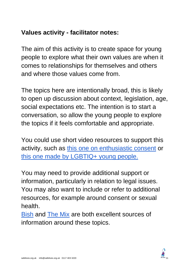#### **Values activity - facilitator notes:**

The aim of this activity is to create space for young people to explore what their own values are when it comes to relationships for themselves and others and where those values come from.

The topics here are intentionally broad, this is likely to open up discussion about context, legislation, age, social expectations etc. The intention is to start a conversation, so allow the young people to explore the topics if it feels comfortable and appropriate.

You could use short video resources to support this activity, such as [this one on enthusiastic consent](https://youtu.be/AqBQH1e7XwQ) or [this one made by LGBTIQ+ young people.](https://www.youtube.com/watch?v=z4049yX84ts)

You may need to provide additional support or information, particularly in relation to legal issues. You may also want to include or refer to additional resources, for example around consent or sexual health.

<span id="page-10-0"></span>[Bish](https://www.bishuk.com/) and [The Mix](https://www.themix.org.uk/) are both excellent sources of information around these topics.

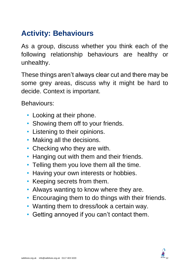## **Activity: Behaviours**

As a group, discuss whether you think each of the following relationship behaviours are healthy or unhealthy.

These things aren't always clear cut and there may be some grey areas, discuss why it might be hard to decide. Context is important.

Behaviours:

- Looking at their phone.
- Showing them off to your friends.
- Listening to their opinions.
- Making all the decisions.
- Checking who they are with.
- Hanging out with them and their friends.
- Telling them you love them all the time.
- Having your own interests or hobbies.
- Keeping secrets from them.
- Always wanting to know where they are.
- Encouraging them to do things with their friends.
- Wanting them to dress/look a certain way.
- Getting annoyed if you can't contact them.

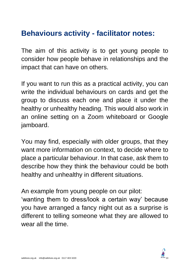### **Behaviours activity - facilitator notes:**

The aim of this activity is to get young people to consider how people behave in relationships and the impact that can have on others.

If you want to run this as a practical activity, you can write the individual behaviours on cards and get the group to discuss each one and place it under the healthy or unhealthy heading. This would also work in an online setting on a Zoom whiteboard or Google jamboard.

You may find, especially with older groups, that they want more information on context, to decide where to place a particular behaviour. In that case, ask them to describe how they think the behaviour could be both healthy and unhealthy in different situations.

An example from young people on our pilot:

<span id="page-12-0"></span>'wanting them to dress/look a certain way' because you have arranged a fancy night out as a surprise is different to telling someone what they are allowed to wear all the time.